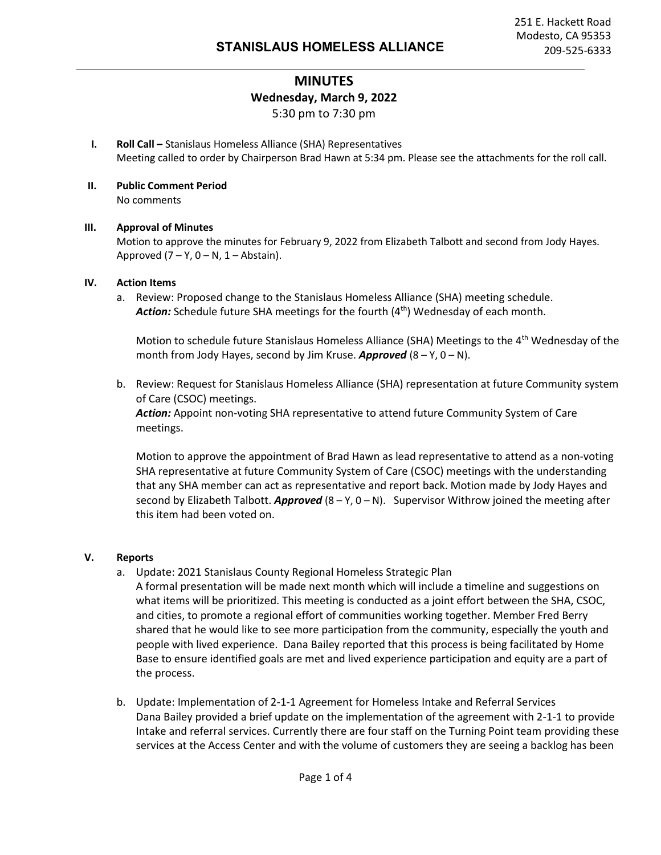## **MINUTES Wednesday, March 9, 2022** 5:30 pm to 7:30 pm

- **I. Roll Call –** Stanislaus Homeless Alliance (SHA) Representatives Meeting called to order by Chairperson Brad Hawn at 5:34 pm. Please see the attachments for the roll call.
- **II. Public Comment Period** No comments

#### **III. Approval of Minutes**

Motion to approve the minutes for February 9, 2022 from Elizabeth Talbott and second from Jody Hayes. Approved  $(7 - Y, 0 - N, 1 - Abstain)$ .

#### **IV. Action Items**

a. Review: Proposed change to the Stanislaus Homeless Alliance (SHA) meeting schedule. Action: Schedule future SHA meetings for the fourth (4<sup>th</sup>) Wednesday of each month.

Motion to schedule future Stanislaus Homeless Alliance (SHA) Meetings to the 4<sup>th</sup> Wednesday of the month from Jody Hayes, second by Jim Kruse. *Approved* (8 – Y, 0 – N).

b. Review: Request for Stanislaus Homeless Alliance (SHA) representation at future Community system of Care (CSOC) meetings. *Action:* Appoint non-voting SHA representative to attend future Community System of Care meetings.

Motion to approve the appointment of Brad Hawn as lead representative to attend as a non-voting SHA representative at future Community System of Care (CSOC) meetings with the understanding that any SHA member can act as representative and report back. Motion made by Jody Hayes and second by Elizabeth Talbott. *Approved* (8 – Y, 0 – N). Supervisor Withrow joined the meeting after this item had been voted on.

#### **V. Reports**

- a. Update: 2021 Stanislaus County Regional Homeless Strategic Plan
	- A formal presentation will be made next month which will include a timeline and suggestions on what items will be prioritized. This meeting is conducted as a joint effort between the SHA, CSOC, and cities, to promote a regional effort of communities working together. Member Fred Berry shared that he would like to see more participation from the community, especially the youth and people with lived experience. Dana Bailey reported that this process is being facilitated by Home Base to ensure identified goals are met and lived experience participation and equity are a part of the process.
- b. Update: Implementation of 2-1-1 Agreement for Homeless Intake and Referral Services Dana Bailey provided a brief update on the implementation of the agreement with 2-1-1 to provide Intake and referral services. Currently there are four staff on the Turning Point team providing these services at the Access Center and with the volume of customers they are seeing a backlog has been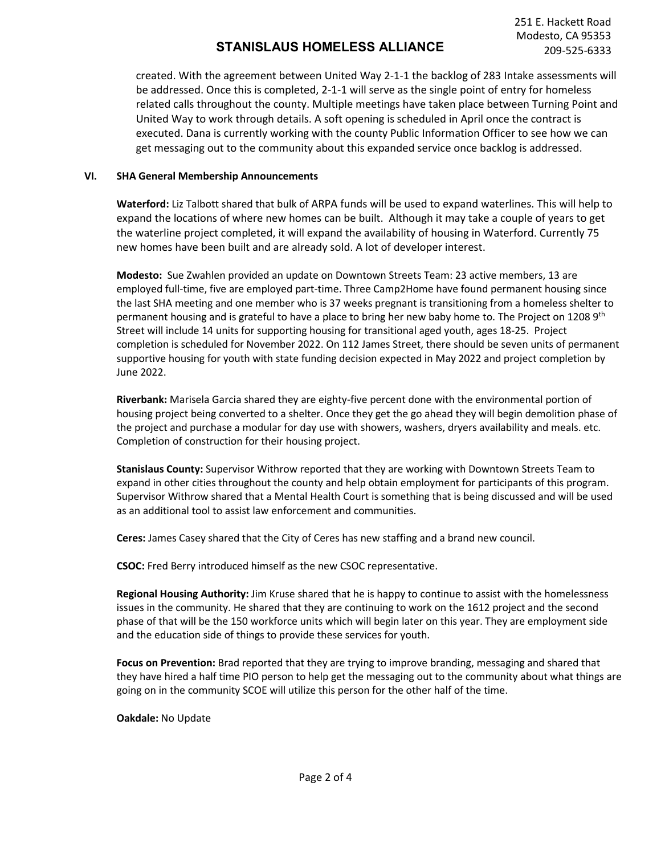created. With the agreement between United Way 2-1-1 the backlog of 283 Intake assessments will be addressed. Once this is completed, 2-1-1 will serve as the single point of entry for homeless related calls throughout the county. Multiple meetings have taken place between Turning Point and United Way to work through details. A soft opening is scheduled in April once the contract is executed. Dana is currently working with the county Public Information Officer to see how we can get messaging out to the community about this expanded service once backlog is addressed.

#### **VI. SHA General Membership Announcements**

**Waterford:** Liz Talbott shared that bulk of ARPA funds will be used to expand waterlines. This will help to expand the locations of where new homes can be built. Although it may take a couple of years to get the waterline project completed, it will expand the availability of housing in Waterford. Currently 75 new homes have been built and are already sold. A lot of developer interest.

**Modesto:** Sue Zwahlen provided an update on Downtown Streets Team: 23 active members, 13 are employed full-time, five are employed part-time. Three Camp2Home have found permanent housing since the last SHA meeting and one member who is 37 weeks pregnant is transitioning from a homeless shelter to permanent housing and is grateful to have a place to bring her new baby home to. The Project on 1208 9<sup>th</sup> Street will include 14 units for supporting housing for transitional aged youth, ages 18-25. Project completion is scheduled for November 2022. On 112 James Street, there should be seven units of permanent supportive housing for youth with state funding decision expected in May 2022 and project completion by June 2022.

**Riverbank:** Marisela Garcia shared they are eighty-five percent done with the environmental portion of housing project being converted to a shelter. Once they get the go ahead they will begin demolition phase of the project and purchase a modular for day use with showers, washers, dryers availability and meals. etc. Completion of construction for their housing project.

**Stanislaus County:** Supervisor Withrow reported that they are working with Downtown Streets Team to expand in other cities throughout the county and help obtain employment for participants of this program. Supervisor Withrow shared that a Mental Health Court is something that is being discussed and will be used as an additional tool to assist law enforcement and communities.

**Ceres:** James Casey shared that the City of Ceres has new staffing and a brand new council.

**CSOC:** Fred Berry introduced himself as the new CSOC representative.

**Regional Housing Authority:** Jim Kruse shared that he is happy to continue to assist with the homelessness issues in the community. He shared that they are continuing to work on the 1612 project and the second phase of that will be the 150 workforce units which will begin later on this year. They are employment side and the education side of things to provide these services for youth.

**Focus on Prevention:** Brad reported that they are trying to improve branding, messaging and shared that they have hired a half time PIO person to help get the messaging out to the community about what things are going on in the community SCOE will utilize this person for the other half of the time.

**Oakdale:** No Update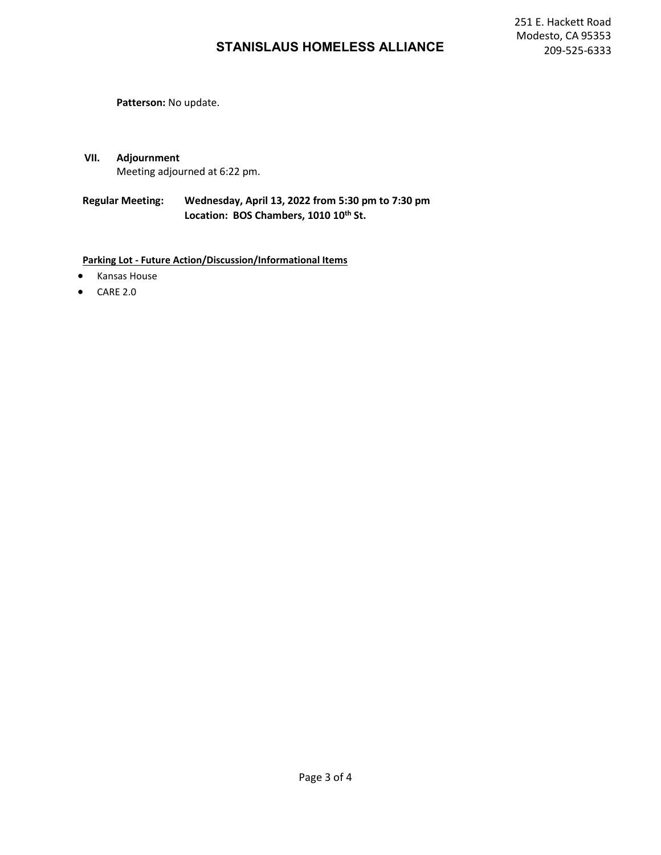**Patterson:** No update.

**VII. Adjournment**  Meeting adjourned at 6:22 pm.

**Regular Meeting: Wednesday, April 13, 2022 from 5:30 pm to 7:30 pm** Location: BOS Chambers, 1010 10<sup>th</sup> St.

**Parking Lot - Future Action/Discussion/Informational Items**

- Kansas House
- CARE 2.0